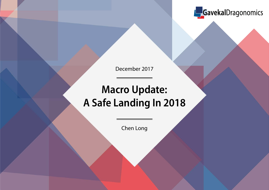

December 2017

# **Macro Update: A Safe Landing In 2018**

Chen Long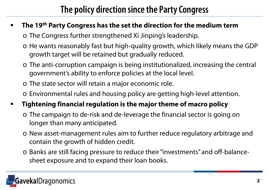## **The policy direction since the Party Congress**

### **The 19th Party Congress has the set the direction for the medium term**

o The Congress further strengthened Xi Jinping's leadership.

- o He wants reasonably fast but high-quality growth, which likely means the GDP growth target will be retained but gradually reduced.
- o The anti-corruption campaign is being institutionalized, increasing the central government's ability to enforce policies at the local level.
- o The state sector will retain a major economic role.
- o Environmental rules and housing policy are getting high-level attention.
- **Tightening financial regulation is the major theme of macro policy** 
	- o The campaign to de-risk and de-leverage the financial sector is going on longer than many anticipated.
	- o New asset-management rules aim to further reduce regulatory arbitrage and contain the growth of hidden credit.
	- o Banks are still facing pressure to reduce their "investments" and off-balancesheet exposure and to expand their loan books.

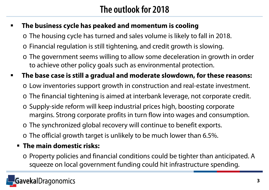## **The outlook for 2018**

### **The business cycle has peaked and momentum is cooling**

- o The housing cycle has turned and sales volume is likely to fall in 2018.
- o Financial regulation is still tightening, and credit growth is slowing.
- o The government seems willing to allow some deceleration in growth in order to achieve other policy goals such as environmental protection.
- **The base case is still a gradual and moderate slowdown, for these reasons:**
	- o Low inventories support growth in construction and real-estate investment.
	- o The financial tightening is aimed at interbank leverage, not corporate credit.
	- o Supply-side reform will keep industrial prices high, boosting corporate margins. Strong corporate profits in turn flow into wages and consumption.
	- o The synchronized global recovery will continue to benefit exports.
	- o The official growth target is unlikely to be much lower than 6.5%.

### **The main domestic risks:**

o Property policies and financial conditions could be tighter than anticipated. A squeeze on local government funding could hit infrastructure spending.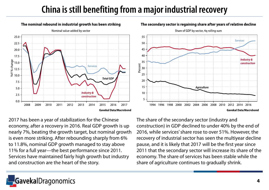## **China is still benefiting from a major industrial recovery**



2017 has been a year of stabilization for the Chinese economy, after a recovery in 2016. Real GDP growth is up nearly 7%, beating the growth target, but nominal growth is even more striking. After rebounding sharply from 6% to 11.8%, nominal GDP growth managed to stay above 11% for a full year—the best performance since 2011. Services have maintained fairly high growth but industry and construction are the heart of the story.

The share of the secondary sector (industry and construction) in GDP declined to under 40% by the end of 2016, while services' share rose to over 51%. However, the recovery of industrial sector has seen the multiyear decline pause, and it is likely that 2017 will be the first year since 2011 that the secondary sector will increase its share of the economy. The share of services has been stable while the share of agriculture continues to gradually shrink.



#### The secondary sector is regaining share after years of relative decline

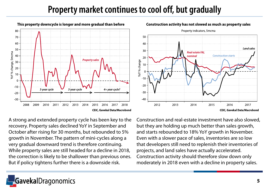### **Property market continues to cool off, but gradually**



A strong and extended property cycle has been key to the recovery. Property sales declined YoY in September and October after rising for 30 months, but rebounded to 5% growth in November. The pattern of mini-cycles along a very gradual downward trend is therefore continuing. While property sales are still headed for a decline in 2018, the correction is likely to be shallower than previous ones. But if policy tightens further there is a downside risk.

Construction and real-estate investment have also slowed, but they are holding up much better than sales growth, and starts rebounded to 18% YoY growth in November. Even with a slower pace of sales, inventories are so low that developers still need to replenish their inventories of projects, and land sales have actually accelerated. Construction activity should therefore slow down only moderately in 2018 even with a decline in property sales.



#### Construction activity has not slowed as much as property sales

alDragonomics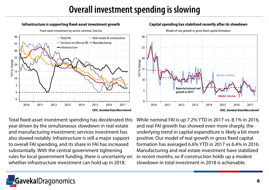### **Overall investment spending is slowing**



#### Capital spending has stabilized recently after its slowdown

Model of real growth in gross fixed capital formation 30 25  $\frac{1}{20}$ <br> $\frac{1}{20}$ <br> $\frac{20}{15}$ Model, monthly  $10$ Reported annual rea 5 growth in GFCF Model, 3mcm  $\Omega$ 2010 2011 2012 2013 2014 2016 2017 2015 **CEIC, Gavekal Data/Macrobond** 

Total fixed-asset investment spending has decelerated this year driven by the simultaneous slowdown in real-estate and manufacturing investment; services investment has also slowed notably. Infrastructure is still a major support to overall FAI spending, and its share in FAI has increased substantially. With the central government tightening rules for local government funding, there is uncertainty on whether infrastructure investment can hold up in 2018.

While nominal FAI is up 7.2% YTD in 2017 vs. 8.1% in 2016, and real FAI growth has showed even more sharply, the underlying trend in capital expenditure is likely a bit more positive. Our model of real growth in gross fixed capital formation has averaged 6.6% YTD in 2017 vs 6.4% in 2016. Manufacturing and real estate investment have stabilized in recent months, so if construction holds up a modest slowdown in total investment in 2018 is achievable.

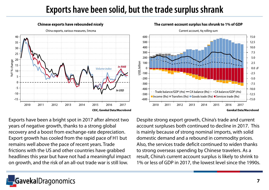### **Exports have been solid, but the trade surplus shrank**

 $-600$ 

2010

2011

2012



**Chinese exports have rebounded nicely** 

Exports have been a bright spot in 2017 after almost two years of negative growth, thanks to a strong global recovery and a boost from exchange-rate depreciation. Export growth has cooled from the rapid pace of H1 but remains well above the pace of recent years. Trade frictions with the US and other countries have grabbed headlines this year but have not had a meaningful impact on growth, and the risk of an all-out trade war is still low.

#### Current account, 4q rolling sum 600 15.0 500 12.5 400 10.0 300  $7.5$ 200  $5.0$ USD, billion  $2.5$ 100  $\mathcal{C}_{\mathcal{C}}$  $0.0 \, \text{m}$  $-2.5$  $-100$  $-200$  $-5.0$  $-300$  $-7.5$  $-400$  $-10.0$ Trade balance/GDP (rhs)  $\rightarrow$  CA balance (lhs)  $\rightarrow$  - CA balance/GDP (rhs)  $-500$  $-12.5$ Income (lhs) I Transfers (lhs) I Goods trade (lhs) I Services trade (lhs)

2013

2014

2015

2016

#### The current-account surplus has shrunk to 1% of GDP

**Gavekal Data/Macrobond** 

2017

 $-15.0$ 

Despite strong export growth, China's trade and current account surpluses both continued to decline in 2017. This is mainly because of strong nominal imports, with solid domestic demand and a rebound in commodity prices. Also, the services trade deficit continued to widen thanks to strong overseas spending by Chinese travelers. As a result, China's current account surplus is likely to shrink to 1% or less of GDP in 2017, the lowest level since the 1990s.

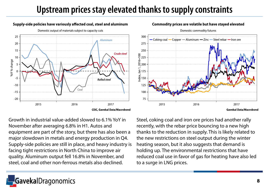## **Upstream prices stay elevated thanks to supply constraints**

### Supply-side policies have variously affected coal, steel and aluminum



Domestic output of materials subject to capacity cuts

Commodity prices are volatile but have stayed elevated



Domestic commodity futures

Growth in industrial value-added slowed to 6.1% YoY in November after averaging 6.8% in H1. Autos and equipment are part of the story, but there has also been a major slowdown in metals and energy production in Q4. Supply-side policies are still in place, and heavy industry is facing tight restrictions in North China to improve air quality. Aluminum output fell 16.8% in November, and steel, coal and other non-ferrous metals also declined.

Steel, coking coal and iron ore prices had another rally recently, with the rebar price bouncing to a new high thanks to the reduction in supply. This is likely related to the new restrictions on steel output during the winter heating season, but it also suggests that demand is holding up. The environmental restrictions that have reduced coal use in favor of gas for heating have also led to a surge in LNG prices.

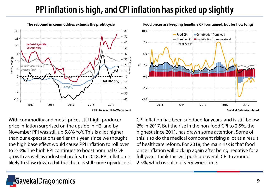# **PPI inflation is high, and CPI inflation has picked up slightly**

10.0

 $7.5$ 

 $5.0$ 

 $0.0$ 

 $-2.5$ 

 $-5.0$ 

2013



With commodity and metal prices still high, producer price inflation surprised on the upside in H2, and by November PPI was still up 5.8% YoY. This is a lot higher than our expectations earlier this year, since we thought the high base effect would cause PPI inflation to roll over to 2-3%. The high PPI continues to boost nominal GDP growth as well as industrial profits. In 2018, PPI inflation is likely to slow down a bit but there is still some upside risk. CPI inflation has been subdued for years, and is still below 2% in 2017. But the rise in the non-food CPI to 2.5%, the highest since 2011, has drawn some attention. Some of this is to do the medical component rising a lot as a result of healthcare reform. For 2018, the main risk is that food price inflation will pick up again after being negative for a full year. I think this will push up overall CPI to around 2.5%, which is still not very worrisome.

2015

2016

2017

**Gavekal Data/Macrobond** 



— Non-food CPI ■ Contribution from non-food

Contribution from food

- Food CPI

— Headline CPI

2014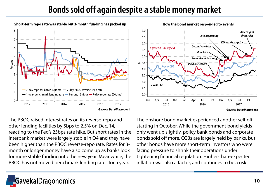### **Bonds sold off again despite a stable money market**



The PBOC raised interest rates on its reverse-repo and other lending facilities by 5bps to 2.5% on Dec. 14, reacting to the Fed's 25bps rate hike. But short rates in the interbank market were largely stable in Q4 and they have been higher than the PBOC reverse-repo rate. Rates for 3 month or longer money have also come up as banks look for more stable funding into the new year. Meanwhile, the PBOC has not moved benchmark lending rates for a year.

The onshore bond market experienced another sell-off starting in October. While the government bond yields only went up slightly, policy bank bonds and corporate bonds sold off more. CGBs are largely held by banks, but other bonds have more short-term investors who were facing pressure to shrink their operations under tightening financial regulation. Higher-than-expected inflation was also a factor, and continues to be a risk.





How the bond market responded to events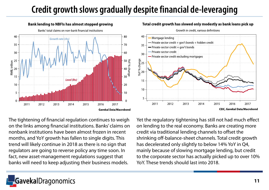# **Credit growth slows gradually despite financial de-leveraging**



Total credit growth has slowed only modestly as bank loans pick up



The tightening of financial regulation continues to weigh on the links among financial institutions. Banks' claims on nonbank institutions have been almost frozen in recent months, and YoY growth has fallen to single digits. This trend will likely continue in 2018 as there is no sign that regulators are going to reverse policy any time soon. In fact, new asset-management regulations suggest that banks will need to keep adjusting their business models.

Yet the regulatory tightening has still not had much effect on lending to the real economy. Banks are creating more credit via traditional lending channels to offset the shrinking off-balance-sheet channels. Total credit growth has decelerated only slightly to below 14% YoY in Q4, mainly because of slowing mortgage lending, but credit to the corporate sector has actually picked up to over 10% YoY. These trends should last into 2018.

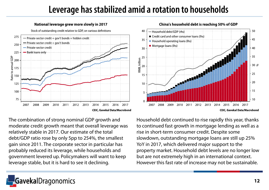### **Leverage has stabilized amid a rotation to households**



The combination of strong nominal GDP growth and moderate credit growth meant that overall leverage was relatively stable in 2017. Our estimate of the total debt/GDP ratio rose by only 5pp to 254%, the smallest gain since 2011. The corporate sector in particular has probably reduced its leverage, while households and government levered up. Policymakers will want to keep leverage stable, but it is hard to see it declining.



Household debt continued to rise rapidly this year, thanks to continued fast growth in mortgage lending as well as a rise in short-term consumer credit. Despite some slowdown, outstanding mortgage loans are still up 25% YoY in 2017, which delivered major support to the property market. Household debt levels are no longer low but are not extremely high in an international context. However this fast rate of increase may not be sustainable.

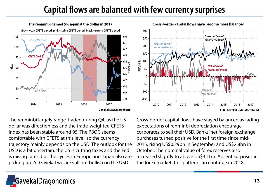## **Capital flows are balanced with few currency surprises**



The renminbi largely range-traded during Q4, as the US dollar was directionless and the trade-weighted CFETS index has been stable around 95. The PBOC seems comfortable with CFETS at this level, so the currency trajectory mainly depends on the USD. The outlook for the USD is a bit uncertain: the US is cutting taxes and the Fed is raising rates, but the cycles in Europe and Japan also are picking up. At Gavekal we are still not bullish on the USD.

Cross-border capital flows have stayed balanced as fading expectations of renminbi depreciation encourage corporates to sell their USD. Banks' net foreign exchange purchases turned positive for the first time since mid-2015, rising US\$0.29bn in September and US\$2.8bn in October. The nominal value of forex reserves also increased slightly to above US\$3.1trn. Absent surprises in the forex market, this pattern can continue in 2018.



**CEIC, Gavekal Data/Macrobond**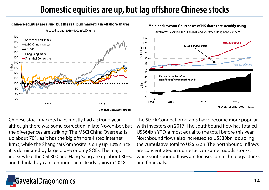## **Domestic equities are up, but lag offshore Chinese stocks**

### Chinese equities are rising but the real bull market is in offshore shares



#### Rebased to end-2016=100, in USD terms



#### Mainland investors' purchases of HK shares are steadily rising

Chinese stock markets have mostly had a strong year, although there was some correction in late November. But the divergences are striking: The MSCI China Overseas is up about 70% as it has the big offshore-listed internet firms, while the Shanghai Composite is only up 10% since it is dominated by large old-economy SOEs. The major indexes like the CSI 300 and Hang Seng are up about 30%, and I think they can continue their steady gains in 2018.

The Stock Connect programs have become more popular with investors on 2017. The southbound flow has totaled US\$64bn YTD, almost equal to the total before this year. Northbound flows also increased to US\$30bn, doubling the cumulative total to US\$53bn. The northbound inflows are concentrated in domestic consumer goods stocks, while southbound flows are focused on technology stocks and financials.

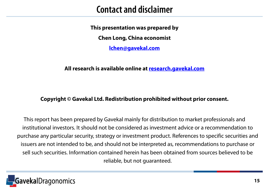### **Contact and disclaimer**

**This presentation was prepared by**

**Chen Long, China economist**

**[lchen@gavekal.com](mailto:lchen@gavekal.com)**

### **All research is available online at [research.gavekal.com](http://research.gavekal.com/gavekal-dragonomics)**

### **Copyright © Gavekal Ltd. Redistribution prohibited without prior consent.**

This report has been prepared by Gavekal mainly for distribution to market professionals and institutional investors. It should not be considered as investment advice or a recommendation to purchase any particular security, strategy or investment product. References to specific securities and issuers are not intended to be, and should not be interpreted as, recommendations to purchase or sell such securities. Information contained herein has been obtained from sources believed to be reliable, but not guaranteed.